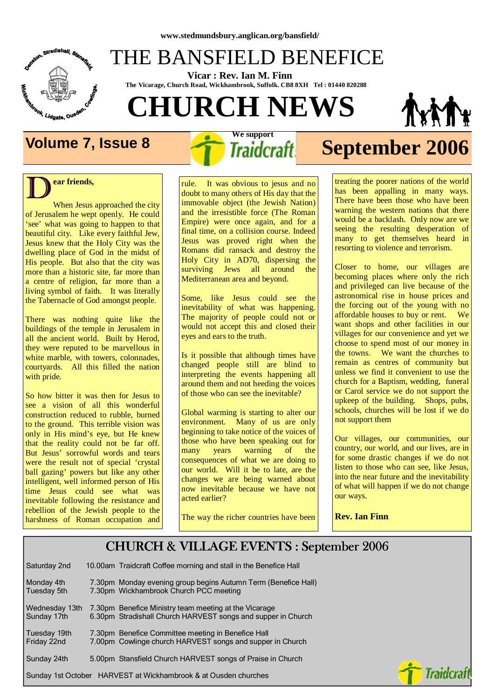

## THE BANSFIELD BENEFICE

 **Vicar : Rev. Ian M. Finn The Vicarage, Church Road, Wickhambrook, Suffolk. CB8 8XH Tel : 01440 820288**

# **CHURCH NEWS**



### $\overline{\mathbf{D}}^{\text{ea}}$ **ear friends,**

When Jesus approached the city of Jerusalem he wept openly. He could 'see' what was going to happen to that beautiful city. Like every faithful Jew, Jesus knew that the Holy City was the dwelling place of God in the midst of His people. But also that the city was more than a historic site, far more than a centre of religion, far more than a living symbol of faith. It was literally the Tabernacle of God amongst people.

There was nothing quite like the buildings of the temple in Jerusalem in all the ancient world. Built by Herod, they were reputed to be marvellous in white marble, with towers, colonnades, courtyards. All this filled the nation with pride.

So how bitter it was then for Jesus to see a vision of all this wonderful construction reduced to rubble, burned to the ground. This terrible vision was only in His mind's eye, but He knew that the reality could not be far off. But Jesus' sorrowful words and tears were the result not of special 'crystal ball gazing' powers but like any other intelligent, well informed person of His time Jesus could see what was inevitable following the resistance and rebellion of the Jewish people to the harshness of Roman occupation and  **We support** 

## **Volume 7, Issue 8** *I**Traidcraft* **September 2006**

rule. It was obvious to jesus and no doubt to many others of His day that the immovable object (the Jewish Nation) and the irresistible force (The Roman Empire) were once again, and for a final time, on a collision course. Indeed Jesus was proved right when the Romans did ransack and destroy the Holy City in AD70, dispersing the surviving Jews all around the Mediterranean area and beyond.

Some, like Jesus could see the inevitability of what was happening. The majority of people could not or would not accept this and closed their eyes and ears to the truth.

Is it possible that although times have changed people still are blind to interpreting the events happening all around them and not heeding the voices of those who can see the inevitable?

Global warming is starting to alter our environment. Many of us are only beginning to take notice of the voices of those who have been speaking out for many years warning of the consequences of what we are doing to our world. Will it be to late, are the changes we are being warned about now inevitable because we have not acted earlier?

The way the richer countries have been

treating the poorer nations of the world has been appalling in many ways. There have been those who have been warning the western nations that there would be a backlash. Only now are we seeing the resulting desperation of many to get themselves heard in resorting to violence and terrorism.

Closer to home, our villages are becoming places where only the rich and privileged can live because of the astronomical rise in house prices and the forcing out of the young with no affordable houses to buy or rent. We want shops and other facilities in our villages for our convenience and yet we choose to spend most of our money in the towns. We want the churches to remain as centres of community but unless we find it convenient to use the church for a Baptism, wedding, funeral or Carol service we do not support the upkeep of the building. Shops, pubs, schools, churches will be lost if we do not support them

Our villages, our communities, our country, our world, and our lives, are in for some drastic changes if we do not listen to those who can see, like Jesus, into the near future and the inevitability of what will happen if we do not change our ways.

**Rev. Ian Finn** 

#### CHURCH & VILLAGE EVENTS : September 2006 CHURCH & VILLAGE EVENTS : September 2006

| Saturday 2nd                  | 10.00am Traidcraft Coffee morning and stall in the Benefice Hall                                                      |
|-------------------------------|-----------------------------------------------------------------------------------------------------------------------|
| Monday 4th<br>Tuesday 5th     | 7.30pm Monday evening group begins Autumn Term (Benefice Hall)<br>7.30pm Wickhambrook Church PCC meeting              |
| Wednesday 13th<br>Sunday 17th | 7.30pm Benefice Ministry team meeting at the Vicarage<br>6.30pm Stradishall Church HARVEST songs and supper in Church |
| Tuesday 19th<br>Friday 22nd   | 7.30pm Benefice Committee meeting in Benefice Hall<br>7.00pm Cowlinge church HARVEST songs and supper in Church       |
| Sunday 24th                   | 5.00pm Stansfield Church HARVEST songs of Praise in Church                                                            |
|                               | Sunday 1st October HARVEST at Wickhambrook & at Ousden churches                                                       |